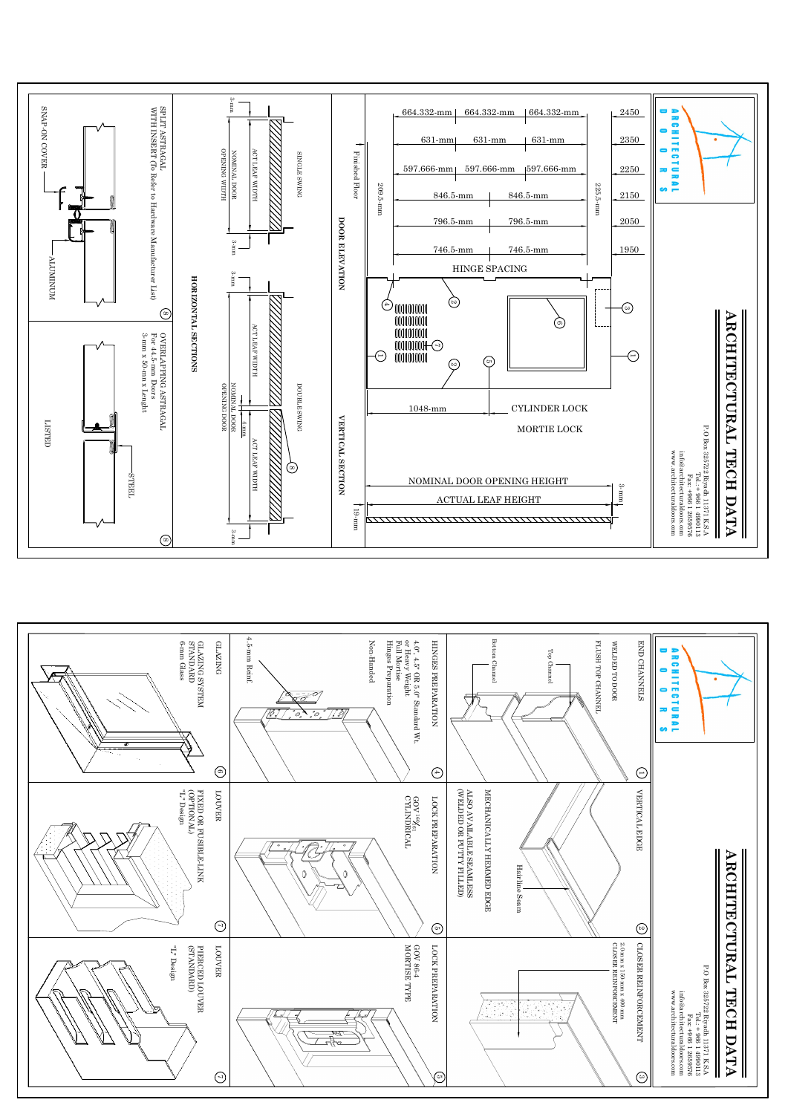